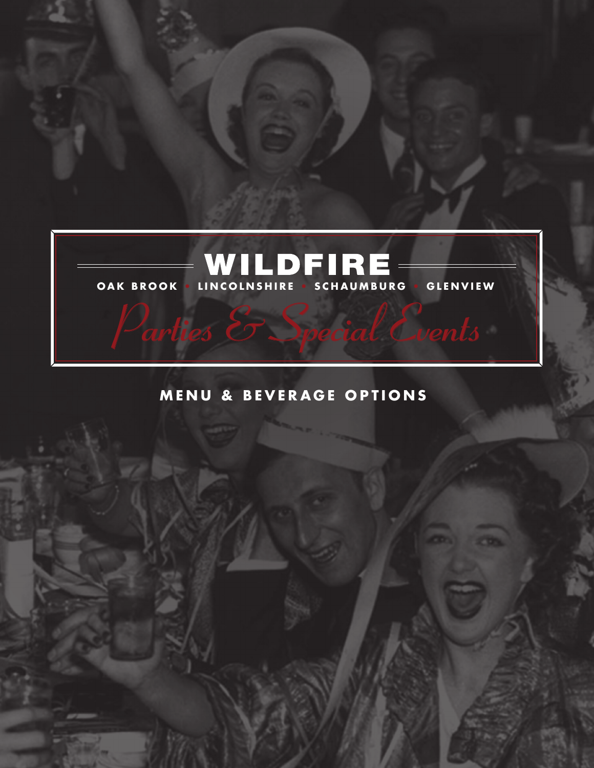

# **MENU & BEVERAGE OPTIONS**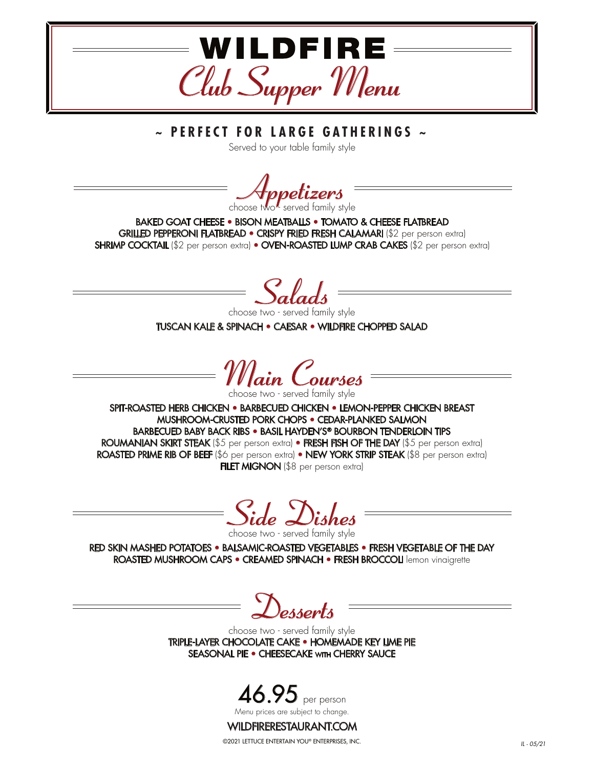

Served to your table family style

**Appetizers**<br>choose two served family style

BAKED GOAT CHEESE • BISON MEATBALLS • TOMATO & CHEESE FLATBREAD GRILLED PEPPERONI FLATBREAD • CRISPY FRIED FRESH CALAMARI (\$2 per person extra) SHRIMP COCKTAIL (\$2 per person extra) • OVEN-ROASTED LUMP CRAB CAKES (\$2 per person extra)

*Salads* choose two - served family style

TUSCAN KALE & SPINACH • CAESAR • WILDFIRE CHOPPED SALAD

*Main Courses*<br>choose two - served family style

SPIT-ROASTED HERB CHICKEN • BARBECUED CHICKEN • LEMON-PEPPER CHICKEN BREAST MUSHROOM-CRUSTED PORK CHOPS • CEDAR-PLANKED SALMON BARBECUED BABY BACK RIBS • BASIL HAYDEN'S® BOURBON TENDERLOIN TIPS ROUMANIAN SKIRT STEAK (\$5 per person extra) • FRESH FISH OF THE DAY (\$5 per person extra) ROASTED PRIME RIB OF BEEF (\$6 per person extra) • NEW YORK STRIP STEAK (\$8 per person extra) FILET MIGNON (\$8 per person extra)

*Side Dishes* choose two - served family style

RED SKIN MASHED POTATOES • BALSAMIC-ROASTED VEGETABLES • FRESH VEGETABLE OF THE DAY ROASTED MUSHROOM CAPS • CREAMED SPINACH • FRESH BROCCOLI lemon vinaigrette

*Desserts*

choose two - served family style TRIPLE-LAYER CHOCOLATE CAKE • HOMEMADE KEY LIME PIE SEASONAL PIE · CHEESECAKE WITH CHERRY SAUCE



#### WILDFIRERESTAURANT.COM

©2021 LETTUCE ENTERTAIN YOU® ENTERPRISES, INC.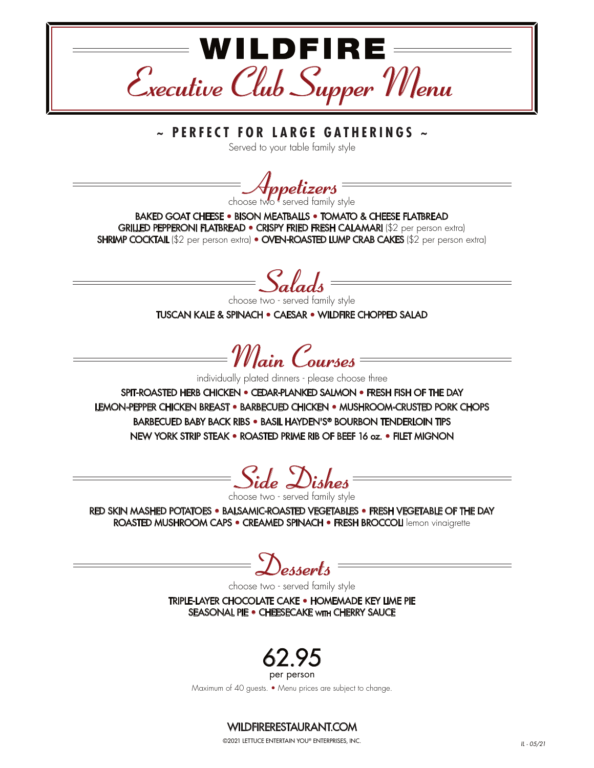

Served to your table family style

**Appetizers** =

BAKED GOAT CHEESE • BISON MEATBALLS • TOMATO & CHEESE FLATBREAD GRILLED PEPPERONI FLATBREAD • CRISPY FRIED FRESH CALAMARI (\$2 per person extra) SHRIMP COCKTAIL (\$2 per person extra) • OVEN-ROASTED LUMP CRAB CAKES (\$2 per person extra)

*Salads*

choose two - served family style TUSCAN KALE & SPINACH • CAESAR • WILDFIRE CHOPPED SALAD

*Main Courses*

individually plated dinners - please choose three

SPIT-ROASTED HERB CHICKEN • CEDAR-PLANKED SALMON • FRESH FISH OF THE DAY LEMON-PEPPER CHICKEN BREAST • BARBECUED CHICKEN • MUSHROOM-CRUSTED PORK CHOPS BARBECUED BABY BACK RIBS • BASIL HAYDEN'S® BOURBON TENDERLOIN TIPS NEW YORK STRIP STEAK • ROASTED PRIME RIB OF BEEF 16 oz. • FILET MIGNON

*Side Dishes*

choose two - served family style

RED SKIN MASHED POTATOES • BALSAMIC-ROASTED VEGETABLES • FRESH VEGETABLE OF THE DAY ROASTED MUSHROOM CAPS • CREAMED SPINACH • FRESH BROCCOLI lemon vinaigrette

*Desserts*

choose two - served family style

TRIPLE-LAYER CHOCOLATE CAKE • HOMEMADE KEY LIME PIE SEASONAL PIE • CHEESECAKE WITH CHERRY SAUCE



per person

Maximum of 40 guests. • Menu prices are subject to change.

### WILDFIRERESTAURANT.COM

©2021 LETTUCE ENTERTAIN YOU® ENTERPRISES, INC. *IL - 05/21*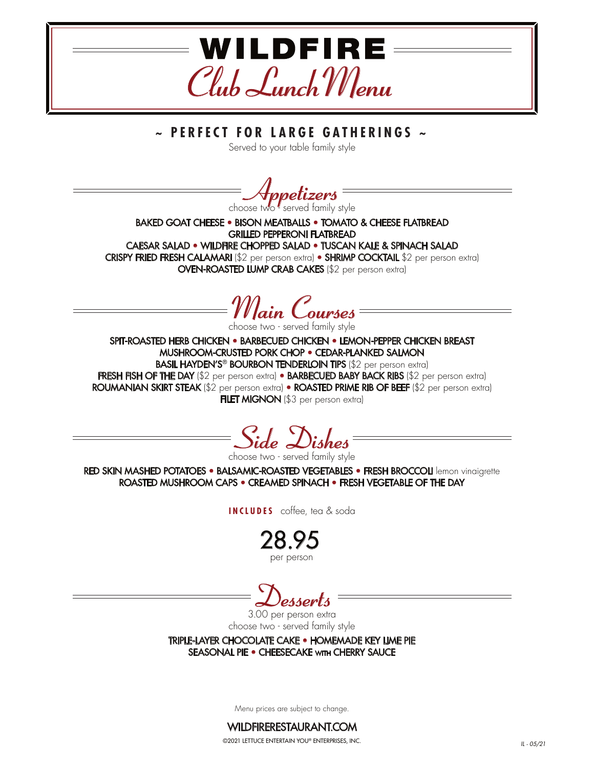

Served to your table family style

*Appetizers* choose two - served family style

BAKED GOAT CHEESE • BISON MEATBALLS • TOMATO & CHEESE FLATBREAD GRILLED PEPPERONI FLATBREAD CAESAR SALAD • WILDFIRE CHOPPED SALAD • TUSCAN KALE & SPINACH SALAD CRISPY FRIED FRESH CALAMARI (\$2 per person extra) • SHRIMP COCKTAIL \$2 per person extra) OVEN-ROASTED LUMP CRAB CAKES (\$2 per person extra)

*Main Courses* choose two - served family style

SPIT-ROASTED HERB CHICKEN • BARBECUED CHICKEN • LEMON-PEPPER CHICKEN BREAST MUSHROOM-CRUSTED PORK CHOP • CEDAR-PLANKED SALMON **BASIL HAYDEN'S® BOURBON TENDERLOIN TIPS (\$2 per person extra)** FRESH FISH OF THE DAY (\$2 per person extra) • BARBECUED BABY BACK RIBS (\$2 per person extra) ROUMANIAN SKIRT STEAK (\$2 per person extra) • ROASTED PRIME RIB OF BEEF (\$2 per person extra) FILET MIGNON (\$3 per person extra)



choose two - served family style

RED SKIN MASHED POTATOES • BALSAMIC-ROASTED VEGETABLES • FRESH BROCCOLI lemon vinaigrette ROASTED MUSHROOM CAPS • CREAMED SPINACH • FRESH VEGETABLE OF THE DAY

**INCLUDES** coffee, tea & soda

28.95 per person

*Desserts*

3.00 per person extra choose two - served family style

TRIPLE-LAYER CHOCOLATE CAKE • HOMEMADE KEY LIME PIE SEASONAL PIE · CHEESECAKE WITH CHERRY SAUCE

Menu prices are subject to change.



©2021 LETTUCE ENTERTAIN YOU® ENTERPRISES, INC. *IL - 05/21*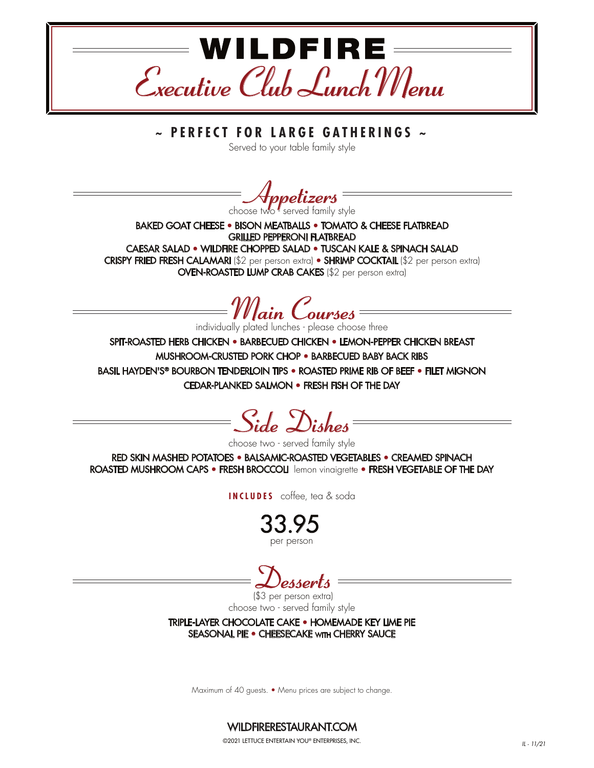

Served to your table family style

choose two served family style

BAKED GOAT CHEESE • BISON MEATBALLS • TOMATO & CHEESE FLATBREAD GRILLED PEPPERONI FLATBREAD

CAESAR SALAD • WILDFIRE CHOPPED SALAD • TUSCAN KALE & SPINACH SALAD CRISPY FRIED FRESH CALAMARI (\$2 per person extra) • SHRIMP COCKTAIL (\$2 per person extra) OVEN-ROASTED LUMP CRAB CAKES (\$2 per person extra)

*Main Courses*

individually plated lunches - please choose three

SPIT-ROASTED HERB CHICKEN • BARBECUED CHICKEN • LEMON-PEPPER CHICKEN BREAST MUSHROOM-CRUSTED PORK CHOP • BARBECUED BABY BACK RIBS BASIL HAYDEN'S® BOURBON TENDERLOIN TIPS • ROASTED PRIME RIB OF BEEF • FILET MIGNON CEDAR-PLANKED SALMON • FRESH FISH OF THE DAY

*Side Dishes*

choose two - served family style

RED SKIN MASHED POTATOES • BALSAMIC-ROASTED VEGETABLES • CREAMED SPINACH ROASTED MUSHROOM CAPS • FRESH BROCCOLI lemon vinaigrette • FRESH VEGETABLE OF THE DAY

**INCLUDES** coffee, tea & soda

33.95 per person

*Desserts* (\$3 per person extra)

choose two - served family style

TRIPLE-LAYER CHOCOLATE CAKE • HOMEMADE KEY LIME PIE SEASONAL PIE · CHEESECAKE WITH CHERRY SAUCE

Maximum of 40 guests. • Menu prices are subject to change.

WILDFIRERESTAURANT.COM ©2021 LETTUCE ENTERTAIN YOU® ENTERPRISES, INC. *IL - 11/21*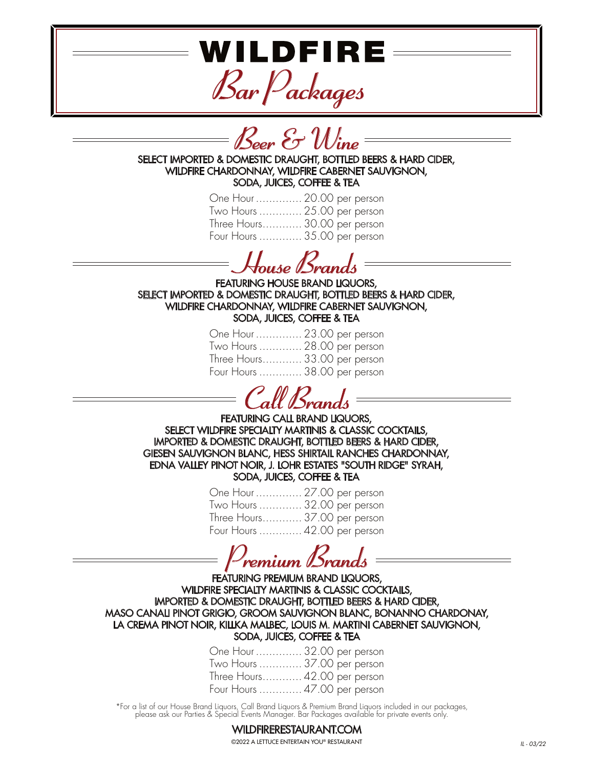WILDFIRE

*Bar Packages*



WILDFIRE CHARDONNAY, WILDFIRE CABERNET SAUVIGNON, SODA, JUICES, COFFEE & TEA

| One Hour  20.00 per person   |  |  |
|------------------------------|--|--|
| Two Hours  25.00 per person  |  |  |
| Three Hours 30.00 per person |  |  |
| Four Hours  35.00 per person |  |  |

*House Brands*

FEATURING HOUSE BRAND LIQUORS, SELECT IMPORTED & DOMESTIC DRAUGHT, BOTTLED BEERS & HARD CIDER, WILDFIRE CHARDONNAY, WILDFIRE CABERNET SAUVIGNON, SODA, JUICES, COFFEE & TEA

| One Hour  23.00 per person   |  |
|------------------------------|--|
| Two Hours  28.00 per person  |  |
| Three Hours 33.00 per person |  |
| Four Hours  38.00 per person |  |

*Call Brands*

FEATURING CALL BRAND LIQUORS. SELECT WILDFIRE SPECIALTY MARTINIS & CLASSIC COCKTAILS, IMPORTED & DOMESTIC DRAUGHT, BOTTLED BEERS & HARD CIDER, GIESEN SAUVIGNON BLANC, HESS SHIRTAIL RANCHES CHARDONNAY, EDNA VALLEY PINOT NOIR, J. LOHR ESTATES "SOUTH RIDGE" SYRAH, SODA, JUICES, COFFEE & TEA

> One Hour .............. 27.00 per person Two Hours ............. 32.00 per person Three Hours............ 37.00 per person Four Hours ............. 42.00 per person

*Premium Brands*

FEATURING PREMIUM BRAND LIQUORS, WILDFIRE SPECIALTY MARTINIS & CLASSIC COCKTAILS, IMPORTED & DOMESTIC DRAUGHT, BOTTLED BEERS & HARD CIDER, MASO CANALI PINOT GRIGIO, GROOM SAUVIGNON BLANC, BONANNO CHARDONAY, LA CREMA PINOT NOIR, KILLKA MALBEC, LOUIS M. MARTINI CABERNET SAUVIGNON, SODA, JUICES, COFFEE & TEA

| One Hour  32.00 per person   |  |  |
|------------------------------|--|--|
| Two Hours  37.00 per person  |  |  |
| Three Hours 42.00 per person |  |  |
| Four Hours  47.00 per person |  |  |

\*For a list of our House Brand Liquors, Call Brand Liquors & Premium Brand Liquors included in our packages, please ask our Parties & Special Events Manager. Bar Packages available for private events only.

#### WILDFIRERESTAURANT.COM ©2022 A LETTUCE ENTERTAIN YOU® RESTAURANT *IL - 03/22*